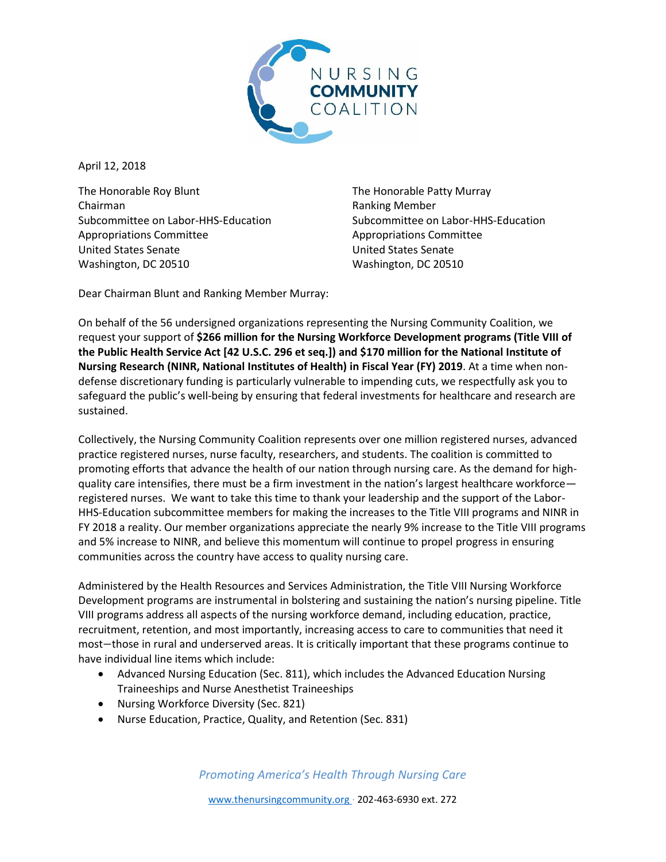

April 12, 2018

The Honorable Roy Blunt The Honorable Patty Murray Chairman **Chairman** Ranking Member Subcommittee on Labor-HHS-Education Subcommittee on Labor-HHS-Education Appropriations Committee Appropriations Committee United States Senate United States Senate Washington, DC 20510 Washington, DC 20510

Dear Chairman Blunt and Ranking Member Murray:

On behalf of the 56 undersigned organizations representing the Nursing Community Coalition, we request your support of **\$266 million for the Nursing Workforce Development programs (Title VIII of the Public Health Service Act [42 U.S.C. 296 et seq.]) and \$170 million for the National Institute of Nursing Research (NINR, National Institutes of Health) in Fiscal Year (FY) 2019**. At a time when nondefense discretionary funding is particularly vulnerable to impending cuts, we respectfully ask you to safeguard the public's well-being by ensuring that federal investments for healthcare and research are sustained.

Collectively, the Nursing Community Coalition represents over one million registered nurses, advanced practice registered nurses, nurse faculty, researchers, and students. The coalition is committed to promoting efforts that advance the health of our nation through nursing care. As the demand for highquality care intensifies, there must be a firm investment in the nation's largest healthcare workforce registered nurses. We want to take this time to thank your leadership and the support of the Labor-HHS-Education subcommittee members for making the increases to the Title VIII programs and NINR in FY 2018 a reality. Our member organizations appreciate the nearly 9% increase to the Title VIII programs and 5% increase to NINR, and believe this momentum will continue to propel progress in ensuring communities across the country have access to quality nursing care.

Administered by the Health Resources and Services Administration, the Title VIII Nursing Workforce Development programs are instrumental in bolstering and sustaining the nation's nursing pipeline. Title VIII programs address all aspects of the nursing workforce demand, including education, practice, recruitment, retention, and most importantly, increasing access to care to communities that need it most−those in rural and underserved areas. It is critically important that these programs continue to have individual line items which include:

- Advanced Nursing Education (Sec. 811), which includes the Advanced Education Nursing Traineeships and Nurse Anesthetist Traineeships
- Nursing Workforce Diversity (Sec. 821)
- Nurse Education, Practice, Quality, and Retention (Sec. 831)

*Promoting America's Health Through Nursing Care*

www.thenursingcommunity.org · 202-463-6930 ext. 272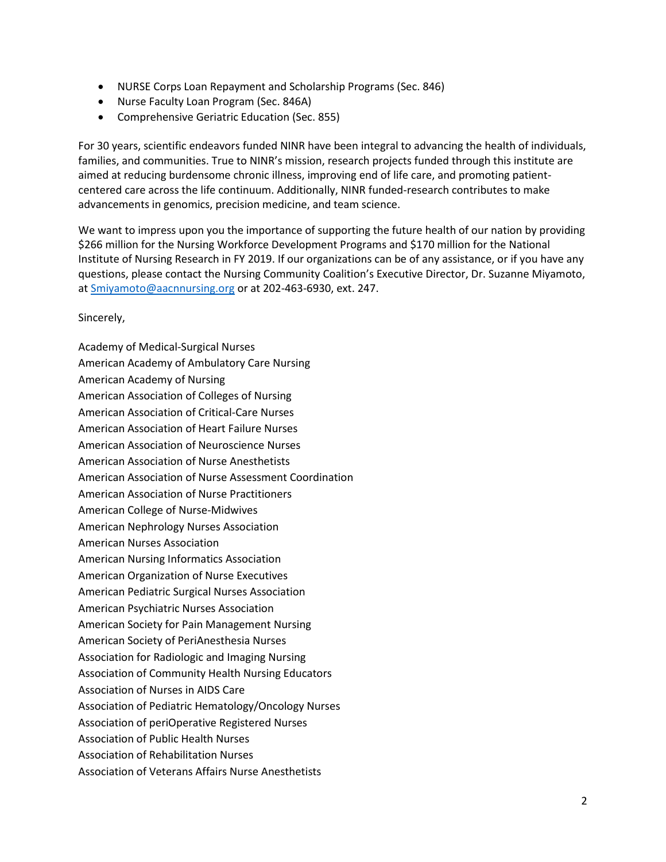- NURSE Corps Loan Repayment and Scholarship Programs (Sec. 846)
- Nurse Faculty Loan Program (Sec. 846A)
- Comprehensive Geriatric Education (Sec. 855)

For 30 years, scientific endeavors funded NINR have been integral to advancing the health of individuals, families, and communities. True to NINR's mission, research projects funded through this institute are aimed at reducing burdensome chronic illness, improving end of life care, and promoting patientcentered care across the life continuum. Additionally, NINR funded-research contributes to make advancements in genomics, precision medicine, and team science.

We want to impress upon you the importance of supporting the future health of our nation by providing \$266 million for the Nursing Workforce Development Programs and \$170 million for the National Institute of Nursing Research in FY 2019. If our organizations can be of any assistance, or if you have any questions, please contact the Nursing Community Coalition's Executive Director, Dr. Suzanne Miyamoto, a[t Smiyamoto@aacnnursing.org](mailto:Smiyamoto@aacnnursing.org) or at 202-463-6930, ext. 247.

## Sincerely,

Academy of Medical-Surgical Nurses American Academy of Ambulatory Care Nursing American Academy of Nursing American Association of Colleges of Nursing American Association of Critical-Care Nurses American Association of Heart Failure Nurses American Association of Neuroscience Nurses American Association of Nurse Anesthetists American Association of Nurse Assessment Coordination American Association of Nurse Practitioners American College of Nurse-Midwives American Nephrology Nurses Association American Nurses Association American Nursing Informatics Association American Organization of Nurse Executives American Pediatric Surgical Nurses Association American Psychiatric Nurses Association American Society for Pain Management Nursing American Society of PeriAnesthesia Nurses Association for Radiologic and Imaging Nursing Association of Community Health Nursing Educators Association of Nurses in AIDS Care Association of Pediatric Hematology/Oncology Nurses Association of periOperative Registered Nurses Association of Public Health Nurses Association of Rehabilitation Nurses Association of Veterans Affairs Nurse Anesthetists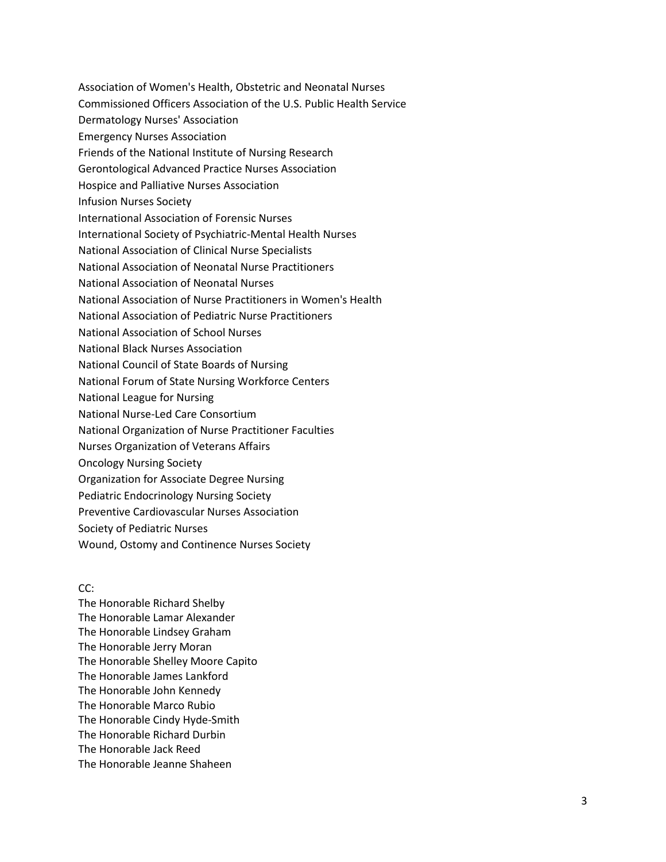Association of Women's Health, Obstetric and Neonatal Nurses Commissioned Officers Association of the U.S. Public Health Service Dermatology Nurses' Association Emergency Nurses Association Friends of the National Institute of Nursing Research Gerontological Advanced Practice Nurses Association Hospice and Palliative Nurses Association Infusion Nurses Society International Association of Forensic Nurses International Society of Psychiatric-Mental Health Nurses National Association of Clinical Nurse Specialists National Association of Neonatal Nurse Practitioners National Association of Neonatal Nurses National Association of Nurse Practitioners in Women's Health National Association of Pediatric Nurse Practitioners National Association of School Nurses National Black Nurses Association National Council of State Boards of Nursing National Forum of State Nursing Workforce Centers National League for Nursing National Nurse-Led Care Consortium National Organization of Nurse Practitioner Faculties Nurses Organization of Veterans Affairs Oncology Nursing Society Organization for Associate Degree Nursing Pediatric Endocrinology Nursing Society Preventive Cardiovascular Nurses Association Society of Pediatric Nurses Wound, Ostomy and Continence Nurses Society

CC:

The Honorable Richard Shelby The Honorable Lamar Alexander The Honorable Lindsey Graham The Honorable Jerry Moran The Honorable Shelley Moore Capito The Honorable James Lankford The Honorable John Kennedy The Honorable Marco Rubio The Honorable Cindy Hyde-Smith The Honorable Richard Durbin The Honorable Jack Reed The Honorable Jeanne Shaheen